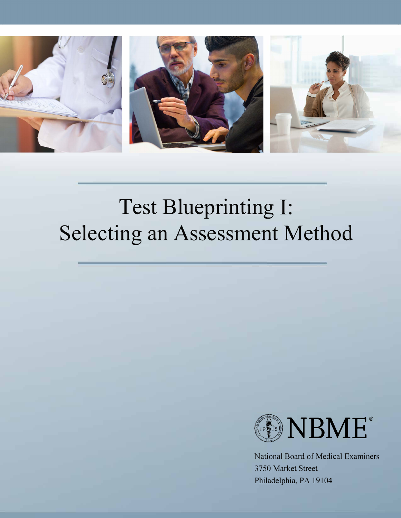

# **Test Blueprinting I: Selecting an Assessment Method**



National Board of Medical Examiners 3750 Market Street Philadelphia, PA 19104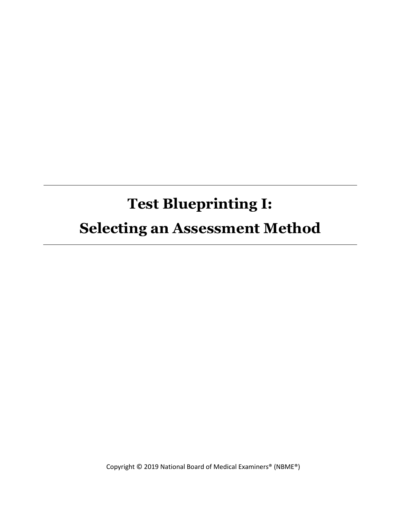# **Test Blueprinting I:**

## **Selecting an Assessment Method**

Copyright © 2019 National Board of Medical Examiners® (NBME®)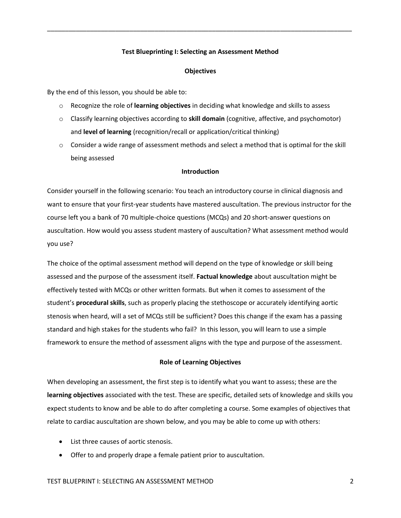#### **Test Blueprinting I: Selecting an Assessment Method**

\_\_\_\_\_\_\_\_\_\_\_\_\_\_\_\_\_\_\_\_\_\_\_\_\_\_\_\_\_\_\_\_\_\_\_\_\_\_\_\_\_\_\_\_\_\_\_\_\_\_\_\_\_\_\_\_\_\_\_\_\_\_\_\_\_\_\_\_\_\_\_\_\_\_\_\_\_\_\_\_\_\_\_\_\_

#### **Objectives**

By the end of this lesson, you should be able to:

- o Recognize the role of **learning objectives** in deciding what knowledge and skills to assess
- o Classify learning objectives according to **skill domain** (cognitive, affective, and psychomotor) and **level of learning** (recognition/recall or application/critical thinking)
- $\circ$  Consider a wide range of assessment methods and select a method that is optimal for the skill being assessed

#### **Introduction**

Consider yourself in the following scenario: You teach an introductory course in clinical diagnosis and want to ensure that your first-year students have mastered auscultation. The previous instructor for the course left you a bank of 70 multiple-choice questions (MCQs) and 20 short-answer questions on auscultation. How would you assess student mastery of auscultation? What assessment method would you use?

The choice of the optimal assessment method will depend on the type of knowledge or skill being assessed and the purpose of the assessment itself. **Factual knowledge** about auscultation might be effectively tested with MCQs or other written formats. But when it comes to assessment of the student's **procedural skills**, such as properly placing the stethoscope or accurately identifying aortic stenosis when heard, will a set of MCQs still be sufficient? Does this change if the exam has a passing standard and high stakes for the students who fail? In this lesson, you will learn to use a simple framework to ensure the method of assessment aligns with the type and purpose of the assessment.

#### **Role of Learning Objectives**

When developing an assessment, the first step is to identify what you want to assess; these are the **learning objectives** associated with the test. These are specific, detailed sets of knowledge and skills you expect students to know and be able to do after completing a course. Some examples of objectives that relate to cardiac auscultation are shown below, and you may be able to come up with others:

- List three causes of aortic stenosis.
- Offer to and properly drape a female patient prior to auscultation.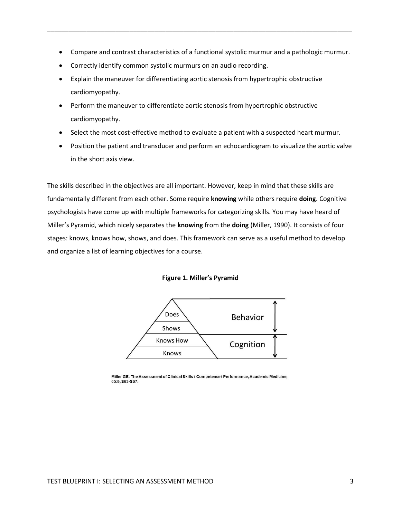Compare and contrast characteristics of a functional systolic murmur and a pathologic murmur.

\_\_\_\_\_\_\_\_\_\_\_\_\_\_\_\_\_\_\_\_\_\_\_\_\_\_\_\_\_\_\_\_\_\_\_\_\_\_\_\_\_\_\_\_\_\_\_\_\_\_\_\_\_\_\_\_\_\_\_\_\_\_\_\_\_\_\_\_\_\_\_\_\_\_\_\_\_\_\_\_\_\_\_\_\_

- Correctly identify common systolic murmurs on an audio recording.
- Explain the maneuver for differentiating aortic stenosis from hypertrophic obstructive cardiomyopathy.
- Perform the maneuver to differentiate aortic stenosis from hypertrophic obstructive cardiomyopathy.
- Select the most cost-effective method to evaluate a patient with a suspected heart murmur.
- Position the patient and transducer and perform an echocardiogram to visualize the aortic valve in the short axis view.

The skills described in the objectives are all important. However, keep in mind that these skills are fundamentally different from each other. Some require **knowing** while others require **doing**. Cognitive psychologists have come up with multiple frameworks for categorizing skills. You may have heard of Miller's Pyramid, which nicely separates the **knowing** from the **doing** (Miller, 1990). It consists of four stages: knows, knows how, shows, and does. This framework can serve as a useful method to develop and organize a list of learning objectives for a course.





Miller GE. The Assessment of Clinical Skills / Competence / Performance, Academic Medicine, 65:9, S63-S67.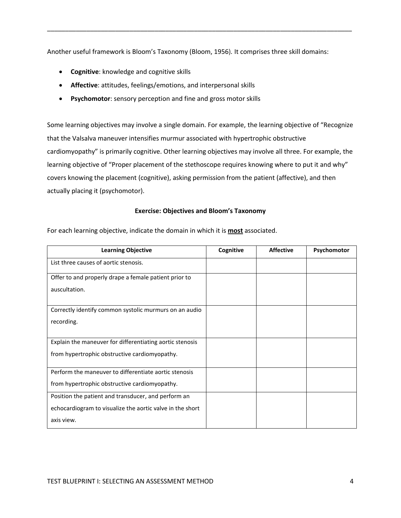Another useful framework is Bloom's Taxonomy (Bloom, 1956)*.* It comprises three skill domains:

\_\_\_\_\_\_\_\_\_\_\_\_\_\_\_\_\_\_\_\_\_\_\_\_\_\_\_\_\_\_\_\_\_\_\_\_\_\_\_\_\_\_\_\_\_\_\_\_\_\_\_\_\_\_\_\_\_\_\_\_\_\_\_\_\_\_\_\_\_\_\_\_\_\_\_\_\_\_\_\_\_\_\_\_\_

- **Cognitive**: knowledge and cognitive skills
- **Affective**: attitudes, feelings/emotions, and interpersonal skills
- **Psychomotor**: sensory perception and fine and gross motor skills

Some learning objectives may involve a single domain. For example, the learning objective of "Recognize that the Valsalva maneuver intensifies murmur associated with hypertrophic obstructive cardiomyopathy" is primarily cognitive. Other learning objectives may involve all three. For example, the learning objective of "Proper placement of the stethoscope requires knowing where to put it and why" covers knowing the placement (cognitive), asking permission from the patient (affective), and then actually placing it (psychomotor).

#### **Exercise: Objectives and Bloom's Taxonomy**

For each learning objective, indicate the domain in which it is **most** associated.

| <b>Learning Objective</b>                                 | Cognitive | <b>Affective</b> | Psychomotor |
|-----------------------------------------------------------|-----------|------------------|-------------|
| List three causes of aortic stenosis.                     |           |                  |             |
| Offer to and properly drape a female patient prior to     |           |                  |             |
| auscultation.                                             |           |                  |             |
| Correctly identify common systolic murmurs on an audio    |           |                  |             |
| recording.                                                |           |                  |             |
| Explain the maneuver for differentiating aortic stenosis  |           |                  |             |
| from hypertrophic obstructive cardiomyopathy.             |           |                  |             |
| Perform the maneuver to differentiate aortic stenosis     |           |                  |             |
| from hypertrophic obstructive cardiomyopathy.             |           |                  |             |
| Position the patient and transducer, and perform an       |           |                  |             |
| echocardiogram to visualize the aortic valve in the short |           |                  |             |
| axis view.                                                |           |                  |             |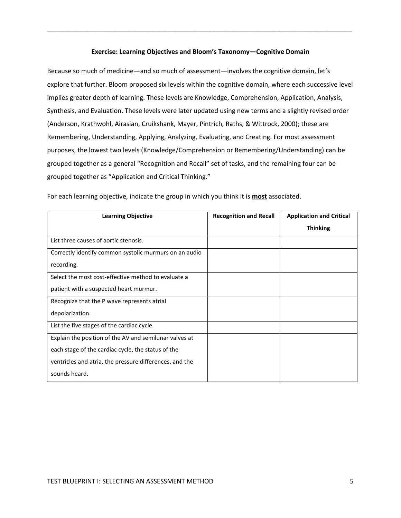#### **Exercise: Learning Objectives and Bloom's Taxonomy—Cognitive Domain**

\_\_\_\_\_\_\_\_\_\_\_\_\_\_\_\_\_\_\_\_\_\_\_\_\_\_\_\_\_\_\_\_\_\_\_\_\_\_\_\_\_\_\_\_\_\_\_\_\_\_\_\_\_\_\_\_\_\_\_\_\_\_\_\_\_\_\_\_\_\_\_\_\_\_\_\_\_\_\_\_\_\_\_\_\_

Because so much of medicine—and so much of assessment—involves the cognitive domain, let's explore that further. Bloom proposed six levels within the cognitive domain, where each successive level implies greater depth of learning. These levels are Knowledge, Comprehension, Application, Analysis, Synthesis, and Evaluation. These levels were later updated using new terms and a slightly revised order (Anderson, Krathwohl, Airasian, Cruikshank, Mayer, Pintrich, Raths, & Wittrock, 2000); these are Remembering, Understanding, Applying, Analyzing, Evaluating, and Creating. For most assessment purposes, the lowest two levels (Knowledge/Comprehension or Remembering/Understanding) can be grouped together as a general "Recognition and Recall" set of tasks, and the remaining four can be grouped together as "Application and Critical Thinking."

| <b>Learning Objective</b>                               | <b>Recognition and Recall</b> | <b>Application and Critical</b> |
|---------------------------------------------------------|-------------------------------|---------------------------------|
|                                                         |                               | <b>Thinking</b>                 |
| List three causes of aortic stenosis.                   |                               |                                 |
| Correctly identify common systolic murmurs on an audio  |                               |                                 |
| recording.                                              |                               |                                 |
| Select the most cost-effective method to evaluate a     |                               |                                 |
| patient with a suspected heart murmur.                  |                               |                                 |
| Recognize that the P wave represents atrial             |                               |                                 |
| depolarization.                                         |                               |                                 |
| List the five stages of the cardiac cycle.              |                               |                                 |
| Explain the position of the AV and semilunar valves at  |                               |                                 |
| each stage of the cardiac cycle, the status of the      |                               |                                 |
| ventricles and atria, the pressure differences, and the |                               |                                 |
| sounds heard.                                           |                               |                                 |

For each learning objective, indicate the group in which you think it is **most** associated.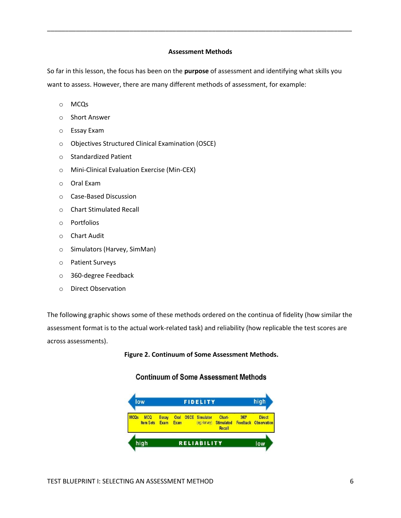#### **Assessment Methods**

\_\_\_\_\_\_\_\_\_\_\_\_\_\_\_\_\_\_\_\_\_\_\_\_\_\_\_\_\_\_\_\_\_\_\_\_\_\_\_\_\_\_\_\_\_\_\_\_\_\_\_\_\_\_\_\_\_\_\_\_\_\_\_\_\_\_\_\_\_\_\_\_\_\_\_\_\_\_\_\_\_\_\_\_\_

So far in this lesson, the focus has been on the **purpose** of assessment and identifying what skills you want to assess. However, there are many different methods of assessment, for example:

- o MCQs
- o Short Answer
- o Essay Exam
- o Objectives Structured Clinical Examination (OSCE)
- o Standardized Patient
- o Mini-Clinical Evaluation Exercise (Min-CEX)
- o Oral Exam
- o Case-Based Discussion
- o Chart Stimulated Recall
- o Portfolios
- o Chart Audit
- o Simulators (Harvey, SimMan)
- o Patient Surveys
- o 360-degree Feedback
- o Direct Observation

The following graphic shows some of these methods ordered on the continua of fidelity (how similar the assessment format is to the actual work-related task) and reliability (how replicable the test scores are across assessments).

#### **Figure 2. Continuum of Some Assessment Methods.**

### **Continuum of Some Assessment Methods**

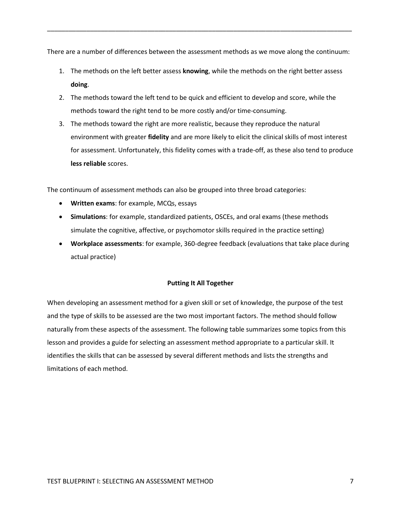There are a number of differences between the assessment methods as we move along the continuum:

\_\_\_\_\_\_\_\_\_\_\_\_\_\_\_\_\_\_\_\_\_\_\_\_\_\_\_\_\_\_\_\_\_\_\_\_\_\_\_\_\_\_\_\_\_\_\_\_\_\_\_\_\_\_\_\_\_\_\_\_\_\_\_\_\_\_\_\_\_\_\_\_\_\_\_\_\_\_\_\_\_\_\_\_\_

- 1. The methods on the left better assess **knowing**, while the methods on the right better assess **doing**.
- 2. The methods toward the left tend to be quick and efficient to develop and score, while the methods toward the right tend to be more costly and/or time-consuming.
- 3. The methods toward the right are more realistic, because they reproduce the natural environment with greater **fidelity** and are more likely to elicit the clinical skills of most interest for assessment. Unfortunately, this fidelity comes with a trade-off, as these also tend to produce **less reliable** scores.

The continuum of assessment methods can also be grouped into three broad categories:

- **Written exams**: for example, MCQs, essays
- **Simulations**: for example, standardized patients, OSCEs, and oral exams (these methods simulate the cognitive, affective, or psychomotor skills required in the practice setting)
- **Workplace assessments**: for example, 360-degree feedback (evaluations that take place during actual practice)

#### **Putting It All Together**

When developing an assessment method for a given skill or set of knowledge, the purpose of the test and the type of skills to be assessed are the two most important factors. The method should follow naturally from these aspects of the assessment. The following table summarizes some topics from this lesson and provides a guide for selecting an assessment method appropriate to a particular skill. It identifies the skills that can be assessed by several different methods and lists the strengths and limitations of each method.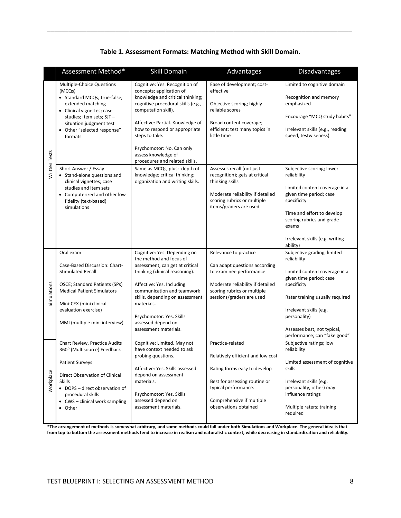|               | Assessment Method*                                                                                                                                                                                                                                     | <b>Skill Domain</b>                                                                                                                                                                                                                                                                                                                      | Advantages                                                                                                                                                                                           | <b>Disadvantages</b>                                                                                                                                                                                                                                               |
|---------------|--------------------------------------------------------------------------------------------------------------------------------------------------------------------------------------------------------------------------------------------------------|------------------------------------------------------------------------------------------------------------------------------------------------------------------------------------------------------------------------------------------------------------------------------------------------------------------------------------------|------------------------------------------------------------------------------------------------------------------------------------------------------------------------------------------------------|--------------------------------------------------------------------------------------------------------------------------------------------------------------------------------------------------------------------------------------------------------------------|
|               | Multiple-Choice Questions<br>(MCQs)<br>• Standard MCQs; true-false;<br>extended matching<br>Clinical vignettes; case<br>studies; item sets; SJT -<br>situation judgment test<br>Other "selected response"<br>formats                                   | Cognitive: Yes. Recognition of<br>concepts; application of<br>knowledge and critical thinking;<br>cognitive procedural skills (e.g.,<br>computation skill).<br>Affective: Partial. Knowledge of<br>how to respond or appropriate<br>steps to take.<br>Psychomotor: No. Can only<br>assess knowledge of<br>procedures and related skills. | Ease of development; cost-<br>effective<br>Objective scoring; highly<br>reliable scores<br>Broad content coverage;<br>efficient; test many topics in<br>little time                                  | Limited to cognitive domain<br>Recognition and memory<br>emphasized<br>Encourage "MCQ study habits"<br>Irrelevant skills (e.g., reading<br>speed, testwiseness)                                                                                                    |
| Written Tests | Short Answer / Essay<br>• Stand-alone questions and<br>clinical vignettes; case<br>studies and item sets<br>Computerized and other low<br>fidelity )text-based)<br>simulations                                                                         | Same as MCQs, plus: depth of<br>knowledge; critical thinking;<br>organization and writing skills.                                                                                                                                                                                                                                        | Assesses recall (not just<br>recognition); gets at critical<br>thinking skills<br>Moderate reliability if detailed<br>scoring rubrics or multiple<br>items/graders are used                          | Subjective scoring; lower<br>reliability<br>Limited content coverage in a<br>given time period; case<br>specificity<br>Time and effort to develop<br>scoring rubrics and grade<br>exams<br>Irrelevant skills (e.g. writing<br>ability)                             |
| Simulations   | Oral exam<br>Case-Based Discussion: Chart-<br><b>Stimulated Recall</b><br>OSCE; Standard Patients (SPs)<br><b>Medical Patient Simulators</b><br>Mini-CEX (mini clinical<br>evaluation exercise)<br>MMI (multiple mini interview)                       | Cognitive: Yes. Depending on<br>the method and focus of<br>assessment, can get at critical<br>thinking (clinical reasoning).<br>Affective: Yes. Including<br>communication and teamwork<br>skills, depending on assessment<br>materials.<br>Psychomotor: Yes. Skills<br>assessed depend on<br>assessment materials.                      | Relevance to practice<br>Can adapt questions according<br>to examinee performance<br>Moderate reliability if detailed<br>scoring rubrics or multiple<br>sessions/graders are used                    | Subjective grading; limited<br>reliability<br>Limited content coverage in a<br>given time period; case<br>specificity<br>Rater training usually required<br>Irrelevant skills (e.g.<br>personality)<br>Assesses best, not typical,<br>performance; can "fake good" |
| Workplace     | Chart Review, Practice Audits<br>360° (Multisource) Feedback<br><b>Patient Surveys</b><br>Direct Observation of Clinical<br><b>Skills</b><br>• DOPS - direct observation of<br>procedural skills<br>CWS - clinical work sampling<br>Other<br>$\bullet$ | Cognitive: Limited. May not<br>have context needed to ask<br>probing questions.<br>Affective: Yes. Skills assessed<br>depend on assessment<br>materials.<br>Psychomotor: Yes. Skills<br>assessed depend on<br>assessment materials.                                                                                                      | Practice-related<br>Relatively efficient and low cost<br>Rating forms easy to develop<br>Best for assessing routine or<br>typical performance.<br>Comprehensive if multiple<br>observations obtained | Subjective ratings; low<br>reliability<br>Limited assessment of cognitive<br>skills.<br>Irrelevant skills (e.g.<br>personality, other) may<br>influence ratings<br>Multiple raters; training<br>required                                                           |

### **Table 1. Assessment Formats: Matching Method with Skill Domain.**

\_\_\_\_\_\_\_\_\_\_\_\_\_\_\_\_\_\_\_\_\_\_\_\_\_\_\_\_\_\_\_\_\_\_\_\_\_\_\_\_\_\_\_\_\_\_\_\_\_\_\_\_\_\_\_\_\_\_\_\_\_\_\_\_\_\_\_\_\_\_\_\_\_\_\_\_\_\_\_\_\_\_\_\_\_

**\*The arrangement of methods is somewhat arbitrary, and some methods could fall under both Simulations and Workplace. The general idea is that from top to bottom the assessment methods tend to increase in realism and naturalistic context, while decreasing in standardization and reliability.**